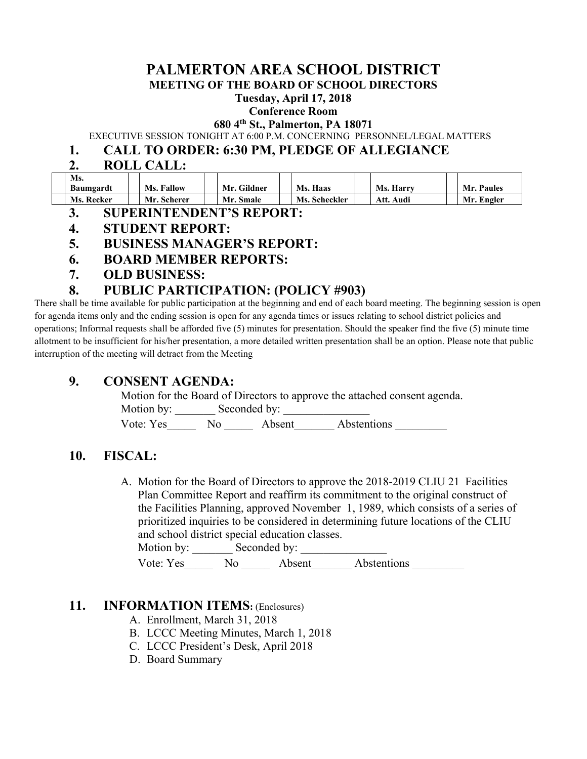# **PALMERTON AREA SCHOOL DISTRICT**

**MEETING OF THE BOARD OF SCHOOL DIRECTORS** 

**Tuesday, April 17, 2018** 

#### **Conference Room**

**680 4th St., Palmerton, PA 18071** 

EXECUTIVE SESSION TONIGHT AT 6:00 P.M. CONCERNING PERSONNEL/LEGAL MATTERS

### **1. CALL TO ORDER: 6:30 PM, PLEDGE OF ALLEGIANCE**

### **2. ROLL CALL:**

| Ms.              |                   |                  |               |              |            |
|------------------|-------------------|------------------|---------------|--------------|------------|
| <b>Baumgardt</b> | <b>Ms. Fallow</b> | Mr. Gildner      | Ms. Haas      | Ms. Harry    | Mr. Paules |
| Ms. Recker       | Mr. Scherer       | <b>Mr. Smale</b> | Ms. Scheckler | Audi<br>Att. | Mr. Engler |

- **3. SUPERINTENDENT'S REPORT:**
- **4. STUDENT REPORT:**
- **5. BUSINESS MANAGER'S REPORT:**
- **6. BOARD MEMBER REPORTS:**
- **7. OLD BUSINESS:**

### **8. PUBLIC PARTICIPATION: (POLICY #903)**

There shall be time available for public participation at the beginning and end of each board meeting. The beginning session is open for agenda items only and the ending session is open for any agenda times or issues relating to school district policies and operations; Informal requests shall be afforded five (5) minutes for presentation. Should the speaker find the five (5) minute time allotment to be insufficient for his/her presentation, a more detailed written presentation shall be an option. Please note that public interruption of the meeting will detract from the Meeting

## **9. CONSENT AGENDA:**

Motion for the Board of Directors to approve the attached consent agenda. Motion by: Seconded by:

Vote: Yes No Absent Abstentions

### **10. FISCAL:**

A. Motion for the Board of Directors to approve the 2018-2019 CLIU 21 Facilities Plan Committee Report and reaffirm its commitment to the original construct of the Facilities Planning, approved November 1, 1989, which consists of a series of prioritized inquiries to be considered in determining future locations of the CLIU and school district special education classes.

Motion by: \_\_\_\_\_\_\_ Seconded by: \_\_\_\_\_\_\_\_\_\_\_\_\_\_\_

Vote: Yes No Absent Abstentions

#### **11. INFORMATION ITEMS:** (Enclosures)

- A. Enrollment, March 31, 2018
- B. LCCC Meeting Minutes, March 1, 2018
- C. LCCC President's Desk, April 2018
- D. Board Summary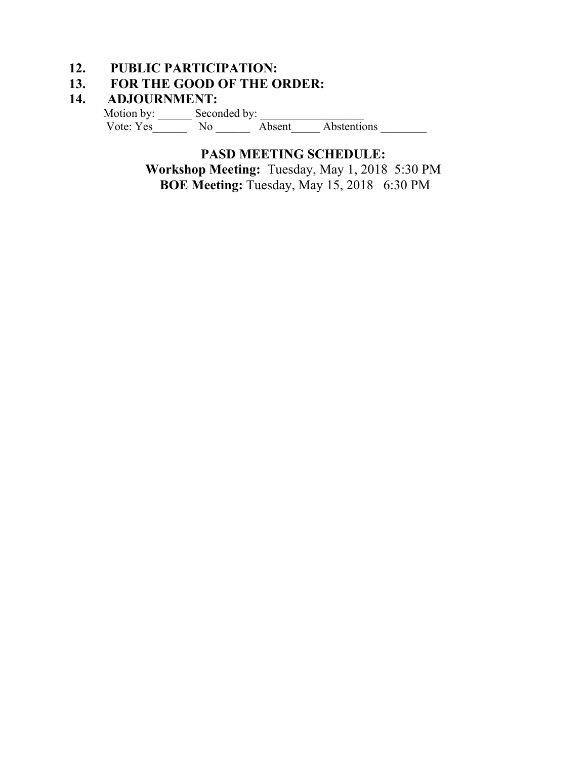## **12. PUBLIC PARTICIPATION:**

## **13. FOR THE GOOD OF THE ORDER:**

### **14. ADJOURNMENT:**

Motion by: \_\_\_\_\_\_ Seconded by: \_\_\_\_\_\_\_\_\_\_\_\_\_\_\_\_\_\_ Vote: Yes\_\_\_\_\_\_ No \_\_\_\_\_\_ Absent\_\_\_\_\_ Abstentions \_\_\_\_\_\_\_\_

> **PASD MEETING SCHEDULE: Workshop Meeting:** Tuesday, May 1, 2018 5:30 PM  **BOE Meeting:** Tuesday, May 15, 20186:30 PM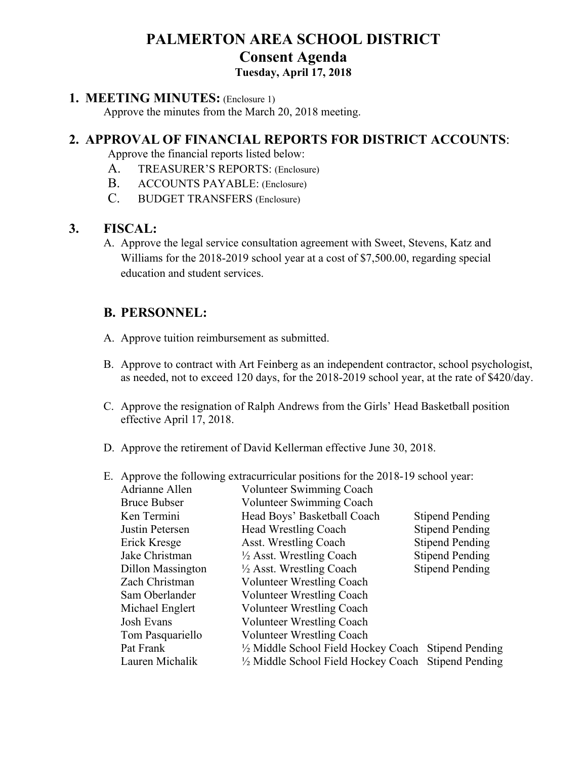# **PALMERTON AREA SCHOOL DISTRICT Consent Agenda Tuesday, April 17, 2018**

#### **1. MEETING MINUTES:** (Enclosure 1)

Approve the minutes from the March 20, 2018 meeting.

## **2. APPROVAL OF FINANCIAL REPORTS FOR DISTRICT ACCOUNTS**:

Approve the financial reports listed below:

- A. TREASURER'S REPORTS: (Enclosure)
- B. ACCOUNTS PAYABLE: (Enclosure)
- C. BUDGET TRANSFERS (Enclosure)

### **3. FISCAL:**

A. Approve the legal service consultation agreement with Sweet, Stevens, Katz and Williams for the 2018-2019 school year at a cost of \$7,500.00, regarding special education and student services.

## **B. PERSONNEL:**

- A. Approve tuition reimbursement as submitted.
- B. Approve to contract with Art Feinberg as an independent contractor, school psychologist, as needed, not to exceed 120 days, for the 2018-2019 school year, at the rate of \$420/day.
- C. Approve the resignation of Ralph Andrews from the Girls' Head Basketball position effective April 17, 2018.
- D. Approve the retirement of David Kellerman effective June 30, 2018.
- E. Approve the following extracurricular positions for the 2018-19 school year:

| Adrianne Allen      | Volunteer Swimming Coach                             |                        |
|---------------------|------------------------------------------------------|------------------------|
| <b>Bruce Bubser</b> | Volunteer Swimming Coach                             |                        |
| Ken Termini         | Head Boys' Basketball Coach                          | <b>Stipend Pending</b> |
| Justin Petersen     | Head Wrestling Coach                                 | <b>Stipend Pending</b> |
| Erick Kresge        | Asst. Wrestling Coach                                | <b>Stipend Pending</b> |
| Jake Christman      | $\frac{1}{2}$ Asst. Wrestling Coach                  | <b>Stipend Pending</b> |
| Dillon Massington   | $\frac{1}{2}$ Asst. Wrestling Coach                  | <b>Stipend Pending</b> |
| Zach Christman      | <b>Volunteer Wrestling Coach</b>                     |                        |
| Sam Oberlander      | Volunteer Wrestling Coach                            |                        |
| Michael Englert     | <b>Volunteer Wrestling Coach</b>                     |                        |
| Josh Evans          | <b>Volunteer Wrestling Coach</b>                     |                        |
| Tom Pasquariello    | <b>Volunteer Wrestling Coach</b>                     |                        |
| Pat Frank           | 1/2 Middle School Field Hockey Coach Stipend Pending |                        |
| Lauren Michalik     | 1/2 Middle School Field Hockey Coach Stipend Pending |                        |